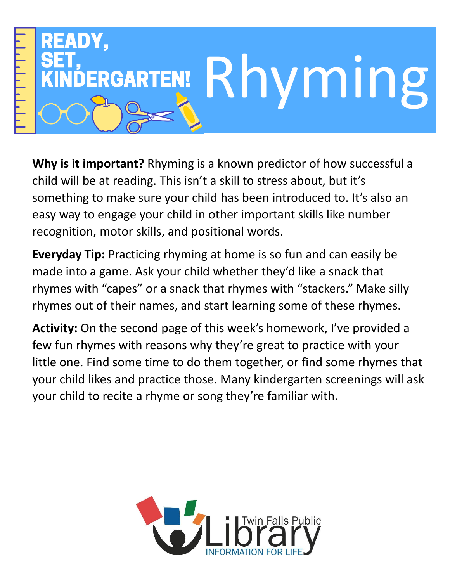

**Why is it important?** Rhyming is a known predictor of how successful a child will be at reading. This isn't a skill to stress about, but it's something to make sure your child has been introduced to. It's also an easy way to engage your child in other important skills like number recognition, motor skills, and positional words.

**Everyday Tip:** Practicing rhyming at home is so fun and can easily be made into a game. Ask your child whether they'd like a snack that rhymes with "capes" or a snack that rhymes with "stackers." Make silly rhymes out of their names, and start learning some of these rhymes.

**Activity:** On the second page of this week's homework, I've provided a few fun rhymes with reasons why they're great to practice with your little one. Find some time to do them together, or find some rhymes that your child likes and practice those. Many kindergarten screenings will ask your child to recite a rhyme or song they're familiar with.